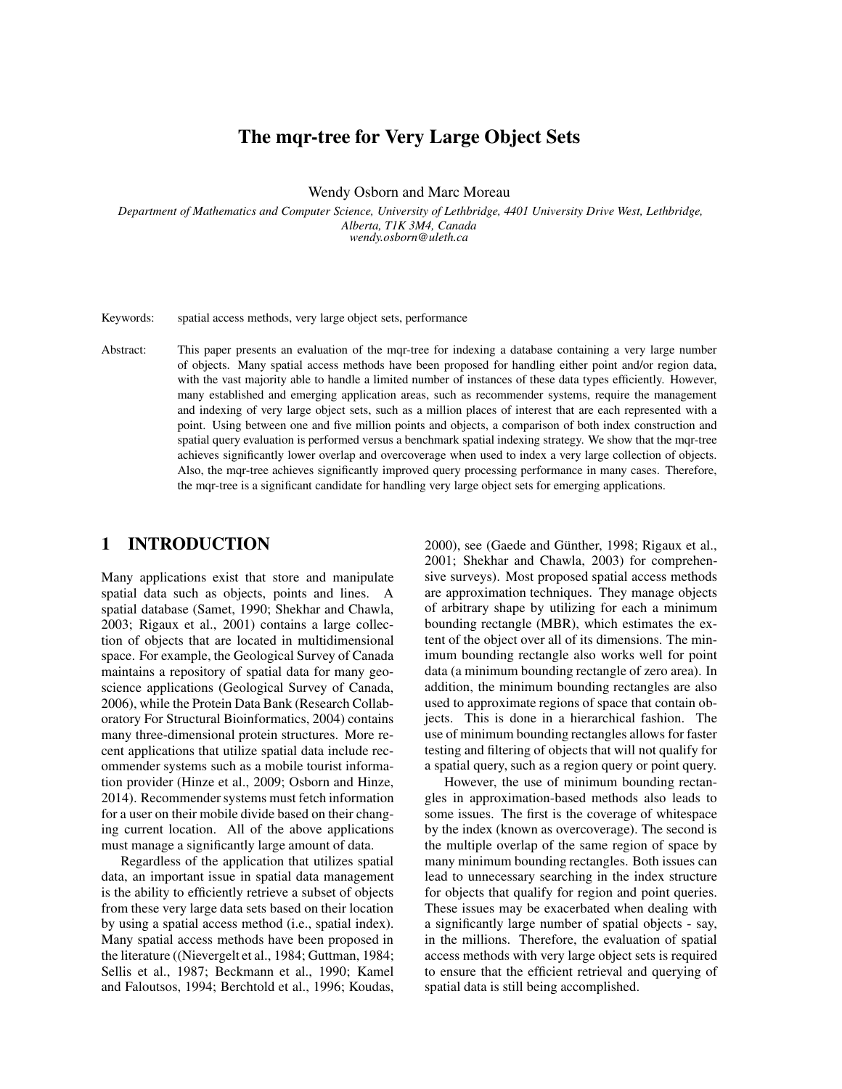# The mqr-tree for Very Large Object Sets

Wendy Osborn and Marc Moreau

*Department of Mathematics and Computer Science, University of Lethbridge, 4401 University Drive West, Lethbridge, Alberta, T1K 3M4, Canada wendy.osborn@uleth.ca*

Keywords: spatial access methods, very large object sets, performance

Abstract: This paper presents an evaluation of the mqr-tree for indexing a database containing a very large number of objects. Many spatial access methods have been proposed for handling either point and/or region data, with the vast majority able to handle a limited number of instances of these data types efficiently. However, many established and emerging application areas, such as recommender systems, require the management and indexing of very large object sets, such as a million places of interest that are each represented with a point. Using between one and five million points and objects, a comparison of both index construction and spatial query evaluation is performed versus a benchmark spatial indexing strategy. We show that the mqr-tree achieves significantly lower overlap and overcoverage when used to index a very large collection of objects. Also, the mqr-tree achieves significantly improved query processing performance in many cases. Therefore, the mqr-tree is a significant candidate for handling very large object sets for emerging applications.

## 1 INTRODUCTION

Many applications exist that store and manipulate spatial data such as objects, points and lines. A spatial database (Samet, 1990; Shekhar and Chawla, 2003; Rigaux et al., 2001) contains a large collection of objects that are located in multidimensional space. For example, the Geological Survey of Canada maintains a repository of spatial data for many geoscience applications (Geological Survey of Canada, 2006), while the Protein Data Bank (Research Collaboratory For Structural Bioinformatics, 2004) contains many three-dimensional protein structures. More recent applications that utilize spatial data include recommender systems such as a mobile tourist information provider (Hinze et al., 2009; Osborn and Hinze, 2014). Recommender systems must fetch information for a user on their mobile divide based on their changing current location. All of the above applications must manage a significantly large amount of data.

Regardless of the application that utilizes spatial data, an important issue in spatial data management is the ability to efficiently retrieve a subset of objects from these very large data sets based on their location by using a spatial access method (i.e., spatial index). Many spatial access methods have been proposed in the literature ((Nievergelt et al., 1984; Guttman, 1984; Sellis et al., 1987; Beckmann et al., 1990; Kamel and Faloutsos, 1994; Berchtold et al., 1996; Koudas,

2000), see (Gaede and Günther, 1998; Rigaux et al., 2001; Shekhar and Chawla, 2003) for comprehensive surveys). Most proposed spatial access methods are approximation techniques. They manage objects of arbitrary shape by utilizing for each a minimum bounding rectangle (MBR), which estimates the extent of the object over all of its dimensions. The minimum bounding rectangle also works well for point data (a minimum bounding rectangle of zero area). In addition, the minimum bounding rectangles are also used to approximate regions of space that contain objects. This is done in a hierarchical fashion. The use of minimum bounding rectangles allows for faster testing and filtering of objects that will not qualify for a spatial query, such as a region query or point query.

However, the use of minimum bounding rectangles in approximation-based methods also leads to some issues. The first is the coverage of whitespace by the index (known as overcoverage). The second is the multiple overlap of the same region of space by many minimum bounding rectangles. Both issues can lead to unnecessary searching in the index structure for objects that qualify for region and point queries. These issues may be exacerbated when dealing with a significantly large number of spatial objects - say, in the millions. Therefore, the evaluation of spatial access methods with very large object sets is required to ensure that the efficient retrieval and querying of spatial data is still being accomplished.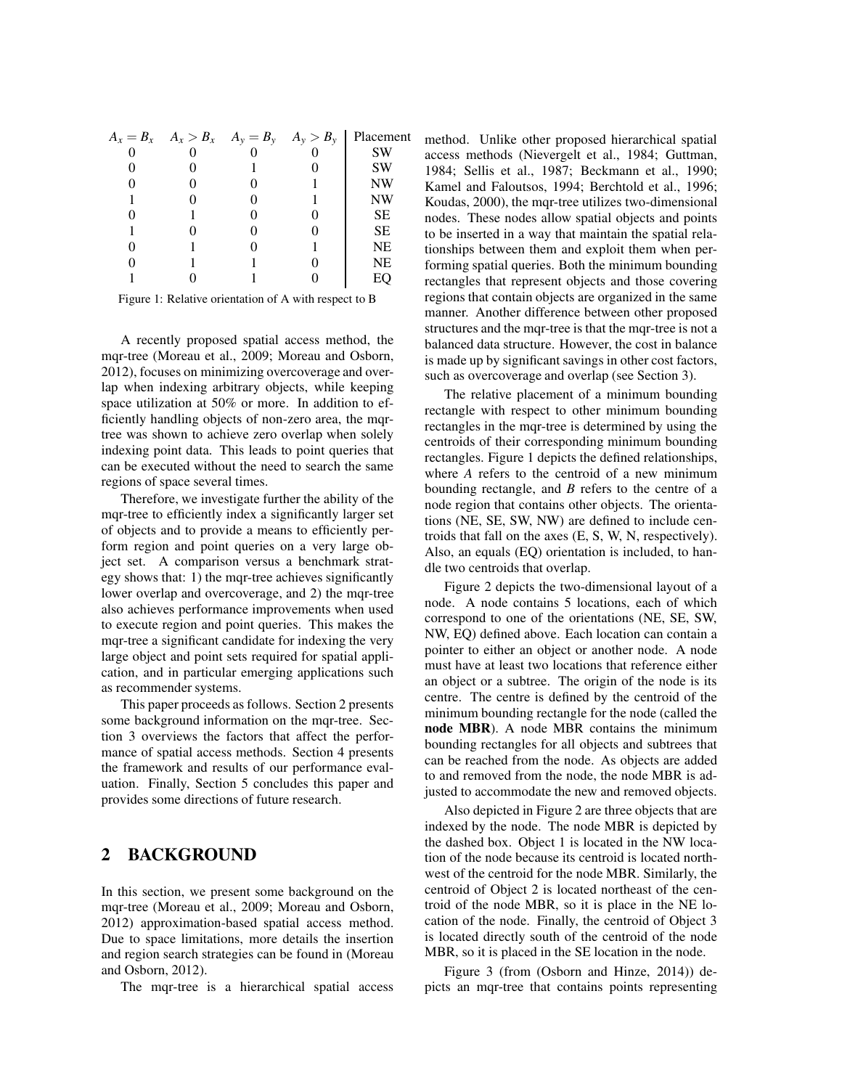|  |  | $A_x = B_x$ $A_x > B_x$ $A_y = B_y$ $A_y > B_y$ Placement |
|--|--|-----------------------------------------------------------|
|  |  | <b>SW</b>                                                 |
|  |  | <b>SW</b>                                                 |
|  |  | <b>NW</b>                                                 |
|  |  | NW                                                        |
|  |  | <b>SE</b>                                                 |
|  |  | <b>SE</b>                                                 |
|  |  | NE                                                        |
|  |  | NE                                                        |
|  |  |                                                           |

Figure 1: Relative orientation of A with respect to B

A recently proposed spatial access method, the mqr-tree (Moreau et al., 2009; Moreau and Osborn, 2012), focuses on minimizing overcoverage and overlap when indexing arbitrary objects, while keeping space utilization at 50% or more. In addition to efficiently handling objects of non-zero area, the mqrtree was shown to achieve zero overlap when solely indexing point data. This leads to point queries that can be executed without the need to search the same regions of space several times.

Therefore, we investigate further the ability of the mqr-tree to efficiently index a significantly larger set of objects and to provide a means to efficiently perform region and point queries on a very large object set. A comparison versus a benchmark strategy shows that: 1) the mqr-tree achieves significantly lower overlap and overcoverage, and 2) the mqr-tree also achieves performance improvements when used to execute region and point queries. This makes the mqr-tree a significant candidate for indexing the very large object and point sets required for spatial application, and in particular emerging applications such as recommender systems.

This paper proceeds as follows. Section 2 presents some background information on the mqr-tree. Section 3 overviews the factors that affect the performance of spatial access methods. Section 4 presents the framework and results of our performance evaluation. Finally, Section 5 concludes this paper and provides some directions of future research.

# 2 BACKGROUND

In this section, we present some background on the mqr-tree (Moreau et al., 2009; Moreau and Osborn, 2012) approximation-based spatial access method. Due to space limitations, more details the insertion and region search strategies can be found in (Moreau and Osborn, 2012).

The mqr-tree is a hierarchical spatial access

method. Unlike other proposed hierarchical spatial access methods (Nievergelt et al., 1984; Guttman, 1984; Sellis et al., 1987; Beckmann et al., 1990; Kamel and Faloutsos, 1994; Berchtold et al., 1996; Koudas, 2000), the mqr-tree utilizes two-dimensional nodes. These nodes allow spatial objects and points to be inserted in a way that maintain the spatial relationships between them and exploit them when performing spatial queries. Both the minimum bounding rectangles that represent objects and those covering regions that contain objects are organized in the same manner. Another difference between other proposed structures and the mqr-tree is that the mqr-tree is not a balanced data structure. However, the cost in balance is made up by significant savings in other cost factors, such as overcoverage and overlap (see Section 3).

The relative placement of a minimum bounding rectangle with respect to other minimum bounding rectangles in the mqr-tree is determined by using the centroids of their corresponding minimum bounding rectangles. Figure 1 depicts the defined relationships, where *A* refers to the centroid of a new minimum bounding rectangle, and *B* refers to the centre of a node region that contains other objects. The orientations (NE, SE, SW, NW) are defined to include centroids that fall on the axes (E, S, W, N, respectively). Also, an equals (EQ) orientation is included, to handle two centroids that overlap.

Figure 2 depicts the two-dimensional layout of a node. A node contains 5 locations, each of which correspond to one of the orientations (NE, SE, SW, NW, EQ) defined above. Each location can contain a pointer to either an object or another node. A node must have at least two locations that reference either an object or a subtree. The origin of the node is its centre. The centre is defined by the centroid of the minimum bounding rectangle for the node (called the node MBR). A node MBR contains the minimum bounding rectangles for all objects and subtrees that can be reached from the node. As objects are added to and removed from the node, the node MBR is adjusted to accommodate the new and removed objects.

Also depicted in Figure 2 are three objects that are indexed by the node. The node MBR is depicted by the dashed box. Object 1 is located in the NW location of the node because its centroid is located northwest of the centroid for the node MBR. Similarly, the centroid of Object 2 is located northeast of the centroid of the node MBR, so it is place in the NE location of the node. Finally, the centroid of Object 3 is located directly south of the centroid of the node MBR, so it is placed in the SE location in the node.

Figure 3 (from (Osborn and Hinze, 2014)) depicts an mqr-tree that contains points representing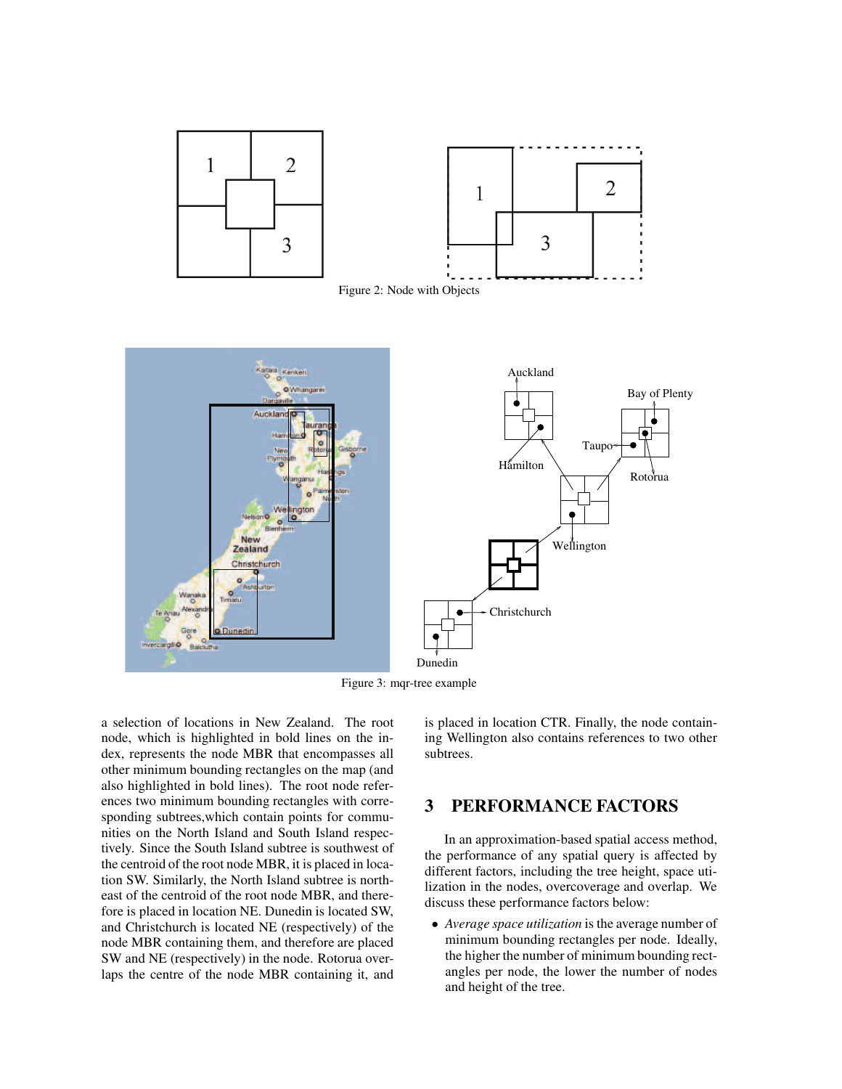

Figure 3: mqr-tree example

a selection of locations in New Zealand. The root node, which is highlighted in bold lines on the index, represents the node MBR that encompasses all other minimum bounding rectangles on the map (and also highlighted in bold lines). The root node references two minimum bounding rectangles with corresponding subtrees,which contain points for communities on the North Island and South Island respectively. Since the South Island subtree is southwest of the centroid of the root node MBR, it is placed in location SW. Similarly, the North Island subtree is northeast of the centroid of the root node MBR, and therefore is placed in location NE. Dunedin is located SW, and Christchurch is located NE (respectively) of the node MBR containing them, and therefore are placed SW and NE (respectively) in the node. Rotorua overlaps the centre of the node MBR containing it, and

is placed in location CTR. Finally, the node containing Wellington also contains references to two other subtrees.

### 3 PERFORMANCE FACTORS

In an approximation-based spatial access method, the performance of any spatial query is affected by different factors, including the tree height, space utilization in the nodes, overcoverage and overlap. We discuss these performance factors below:

• *Average space utilization* is the average number of minimum bounding rectangles per node. Ideally, the higher the number of minimum bounding rectangles per node, the lower the number of nodes and height of the tree.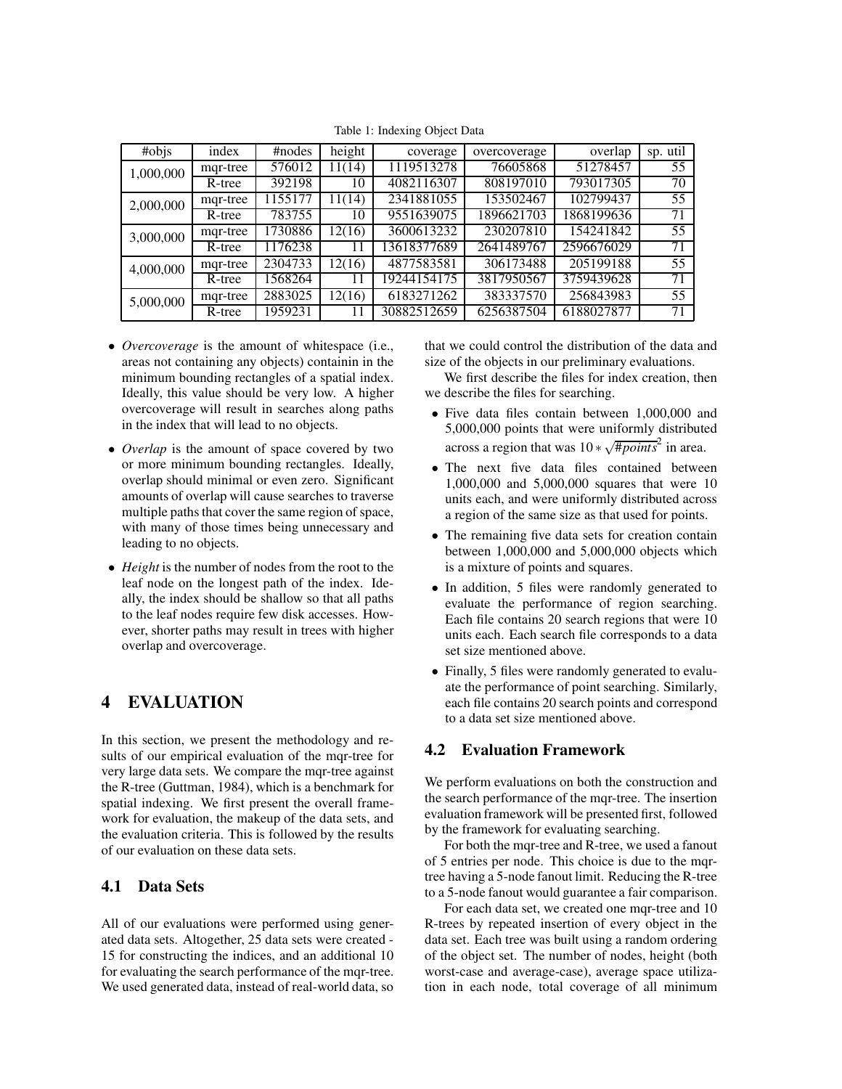| #objs     | index                | #nodes  | height | coverage    | overcoverage | overlap    | sp. util        |
|-----------|----------------------|---------|--------|-------------|--------------|------------|-----------------|
| 1,000,000 | mqr-tree             | 576012  | 11(14) | 1119513278  | 76605868     | 51278457   | 55              |
|           | $\overline{R}$ -tree | 392198  | 10     | 4082116307  | 808197010    | 793017305  | 70              |
| 2,000,000 | mqr-tree             | 1155177 | 11(14) | 2341881055  | 153502467    | 102799437  | 55              |
|           | R-tree               | 783755  | 10     | 9551639075  | 1896621703   | 1868199636 | 71              |
| 3,000,000 | mqr-tree             | 1730886 | 12(16) | 3600613232  | 230207810    | 154241842  | $\overline{55}$ |
|           | R-tree               | 1176238 | 11     | 13618377689 | 2641489767   | 2596676029 | 71              |
| 4,000,000 | mqr-tree             | 2304733 | 12(16) | 4877583581  | 306173488    | 205199188  | $\overline{55}$ |
|           | R-tree               | 1568264 | 11     | 19244154175 | 3817950567   | 3759439628 | 71              |
| 5,000,000 | mqr-tree             | 2883025 | 12(16) | 6183271262  | 383337570    | 256843983  | 55              |
|           | R-tree               | 1959231 |        | 30882512659 | 6256387504   | 6188027877 | 71              |

Table 1: Indexing Object Data

- *Overcoverage* is the amount of whitespace (i.e., areas not containing any objects) containin in the minimum bounding rectangles of a spatial index. Ideally, this value should be very low. A higher overcoverage will result in searches along paths in the index that will lead to no objects.
- *Overlap* is the amount of space covered by two or more minimum bounding rectangles. Ideally, overlap should minimal or even zero. Significant amounts of overlap will cause searches to traverse multiple paths that cover the same region of space, with many of those times being unnecessary and leading to no objects.
- *Height* is the number of nodes from the root to the leaf node on the longest path of the index. Ideally, the index should be shallow so that all paths to the leaf nodes require few disk accesses. However, shorter paths may result in trees with higher overlap and overcoverage.

# 4 EVALUATION

In this section, we present the methodology and results of our empirical evaluation of the mqr-tree for very large data sets. We compare the mqr-tree against the R-tree (Guttman, 1984), which is a benchmark for spatial indexing. We first present the overall framework for evaluation, the makeup of the data sets, and the evaluation criteria. This is followed by the results of our evaluation on these data sets.

### 4.1 Data Sets

All of our evaluations were performed using generated data sets. Altogether, 25 data sets were created - 15 for constructing the indices, and an additional 10 for evaluating the search performance of the mqr-tree. We used generated data, instead of real-world data, so that we could control the distribution of the data and size of the objects in our preliminary evaluations.

We first describe the files for index creation, then we describe the files for searching.

- Five data files contain between 1,000,000 and 5,000,000 points that were uniformly distributed across a region that was  $10 * \sqrt{\frac{\text{#points}^2}{1}}$  in area.
- The next five data files contained between 1,000,000 and 5,000,000 squares that were 10 units each, and were uniformly distributed across a region of the same size as that used for points.
- The remaining five data sets for creation contain between 1,000,000 and 5,000,000 objects which is a mixture of points and squares.
- In addition, 5 files were randomly generated to evaluate the performance of region searching. Each file contains 20 search regions that were 10 units each. Each search file corresponds to a data set size mentioned above.
- Finally, 5 files were randomly generated to evaluate the performance of point searching. Similarly, each file contains 20 search points and correspond to a data set size mentioned above.

### 4.2 Evaluation Framework

We perform evaluations on both the construction and the search performance of the mqr-tree. The insertion evaluation framework will be presented first, followed by the framework for evaluating searching.

For both the mqr-tree and R-tree, we used a fanout of 5 entries per node. This choice is due to the mqrtree having a 5-node fanout limit. Reducing the R-tree to a 5-node fanout would guarantee a fair comparison.

For each data set, we created one mqr-tree and 10 R-trees by repeated insertion of every object in the data set. Each tree was built using a random ordering of the object set. The number of nodes, height (both worst-case and average-case), average space utilization in each node, total coverage of all minimum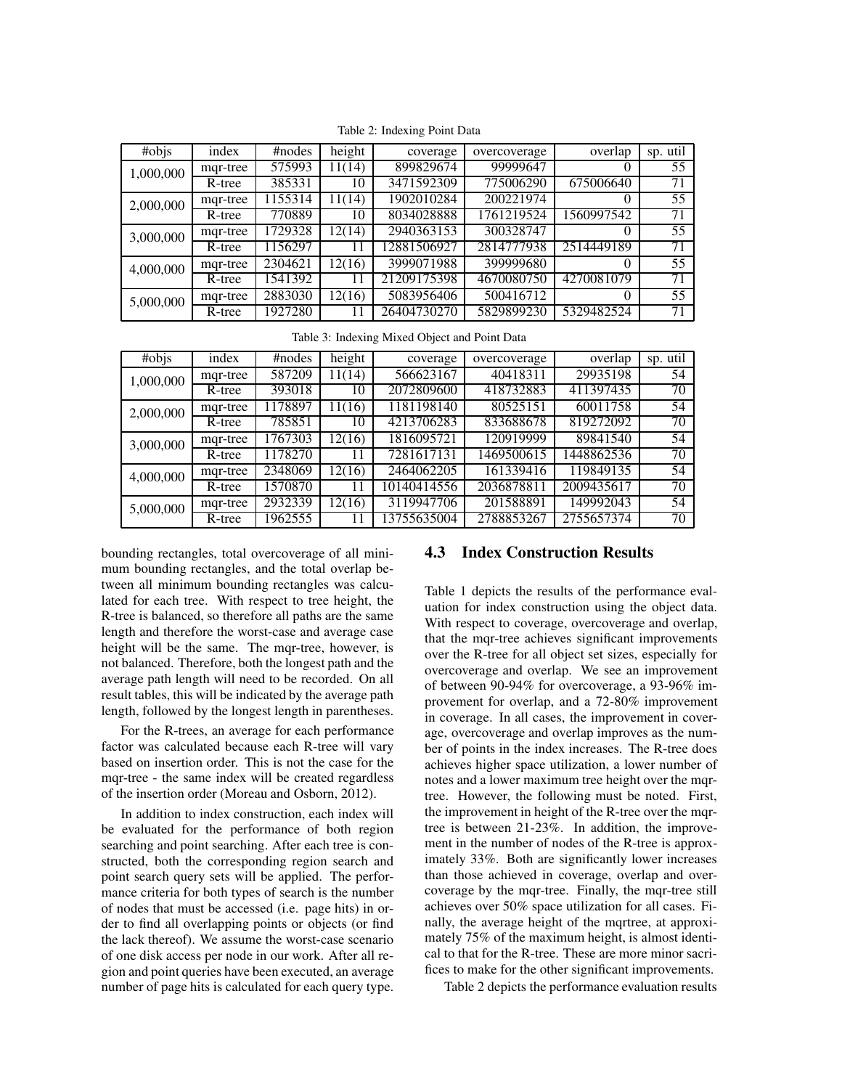| #objs     | index    | #nodes                | height | coverage    | overcoverage | overlap    | sp. util |
|-----------|----------|-----------------------|--------|-------------|--------------|------------|----------|
| 1,000,000 | mgr-tree | 575993                | 11(14) | 899829674   | 99999647     | 0          | 55       |
|           | R-tree   | 385331                | 10     | 3471592309  | 775006290    | 675006640  | 71       |
| 2,000,000 | mgr-tree | $\overline{11}$ 55314 | 11(14) | 1902010284  | 200221974    | $\Omega$   | 55       |
|           | R-tree   | 770889                | 10     | 8034028888  | 1761219524   | 1560997542 | 71       |
| 3,000,000 | mqr-tree | 1729328               | 12(14) | 2940363153  | 300328747    | $\Omega$   | 55       |
|           | R-tree   | 1156297               | 11     | 12881506927 | 2814777938   | 2514449189 | 71       |
| 4,000,000 | mgr-tree | 2304621               | 12(16) | 3999071988  | 399999680    | $\Omega$   | 55       |
|           | R-tree   | 1541392               |        | 21209175398 | 4670080750   | 4270081079 | 71       |
| 5,000,000 | mgr-tree | 2883030               | 12(16) | 5083956406  | 500416712    | $\Omega$   | 55       |
|           | R-tree   | 1927280               |        | 26404730270 | 5829899230   | 5329482524 | 71       |

Table 2: Indexing Point Data

Table 3: Indexing Mixed Object and Point Data

| #objs     | index    | #nodes  | height | coverage    | overcoverage | overlap    | sp. util        |
|-----------|----------|---------|--------|-------------|--------------|------------|-----------------|
| 1,000,000 | mgr-tree | 587209  | 11(14) | 566623167   | 40418311     | 29935198   | 54              |
|           | R-tree   | 393018  | 10     | 2072809600  | 418732883    | 411397435  | 70              |
| 2,000,000 | mqr-tree | 1178897 | 11(16) | 1181198140  | 80525151     | 60011758   | $\overline{54}$ |
|           | R-tree   | 785851  | 10     | 4213706283  | 833688678    | 819272092  | 70              |
| 3,000,000 | mar-tree | 1767303 | 12(16) | 1816095721  | 120919999    | 89841540   | 54              |
|           | R-tree   | 1178270 | 11     | 7281617131  | 1469500615   | 1448862536 | 70              |
| 4,000,000 | mgr-tree | 2348069 | 12(16) | 2464062205  | 161339416    | 119849135  | $\overline{54}$ |
|           | R-tree   | 1570870 | 11     | 10140414556 | 2036878811   | 2009435617 | 70              |
| 5,000,000 | mqr-tree | 2932339 | 12(16) | 3119947706  | 201588891    | 149992043  | $\overline{5}4$ |
|           | R-tree   | 1962555 |        | 13755635004 | 2788853267   | 2755657374 | 70              |

bounding rectangles, total overcoverage of all minimum bounding rectangles, and the total overlap between all minimum bounding rectangles was calculated for each tree. With respect to tree height, the R-tree is balanced, so therefore all paths are the same length and therefore the worst-case and average case height will be the same. The mqr-tree, however, is not balanced. Therefore, both the longest path and the average path length will need to be recorded. On all result tables, this will be indicated by the average path length, followed by the longest length in parentheses.

For the R-trees, an average for each performance factor was calculated because each R-tree will vary based on insertion order. This is not the case for the mqr-tree - the same index will be created regardless of the insertion order (Moreau and Osborn, 2012).

In addition to index construction, each index will be evaluated for the performance of both region searching and point searching. After each tree is constructed, both the corresponding region search and point search query sets will be applied. The performance criteria for both types of search is the number of nodes that must be accessed (i.e. page hits) in order to find all overlapping points or objects (or find the lack thereof). We assume the worst-case scenario of one disk access per node in our work. After all region and point queries have been executed, an average number of page hits is calculated for each query type.

#### 4.3 Index Construction Results

Table 1 depicts the results of the performance evaluation for index construction using the object data. With respect to coverage, overcoverage and overlap, that the mqr-tree achieves significant improvements over the R-tree for all object set sizes, especially for overcoverage and overlap. We see an improvement of between 90-94% for overcoverage, a 93-96% improvement for overlap, and a 72-80% improvement in coverage. In all cases, the improvement in coverage, overcoverage and overlap improves as the number of points in the index increases. The R-tree does achieves higher space utilization, a lower number of notes and a lower maximum tree height over the mqrtree. However, the following must be noted. First, the improvement in height of the R-tree over the mqrtree is between 21-23%. In addition, the improvement in the number of nodes of the R-tree is approximately 33%. Both are significantly lower increases than those achieved in coverage, overlap and overcoverage by the mqr-tree. Finally, the mqr-tree still achieves over 50% space utilization for all cases. Finally, the average height of the mqrtree, at approximately 75% of the maximum height, is almost identical to that for the R-tree. These are more minor sacrifices to make for the other significant improvements.

Table 2 depicts the performance evaluation results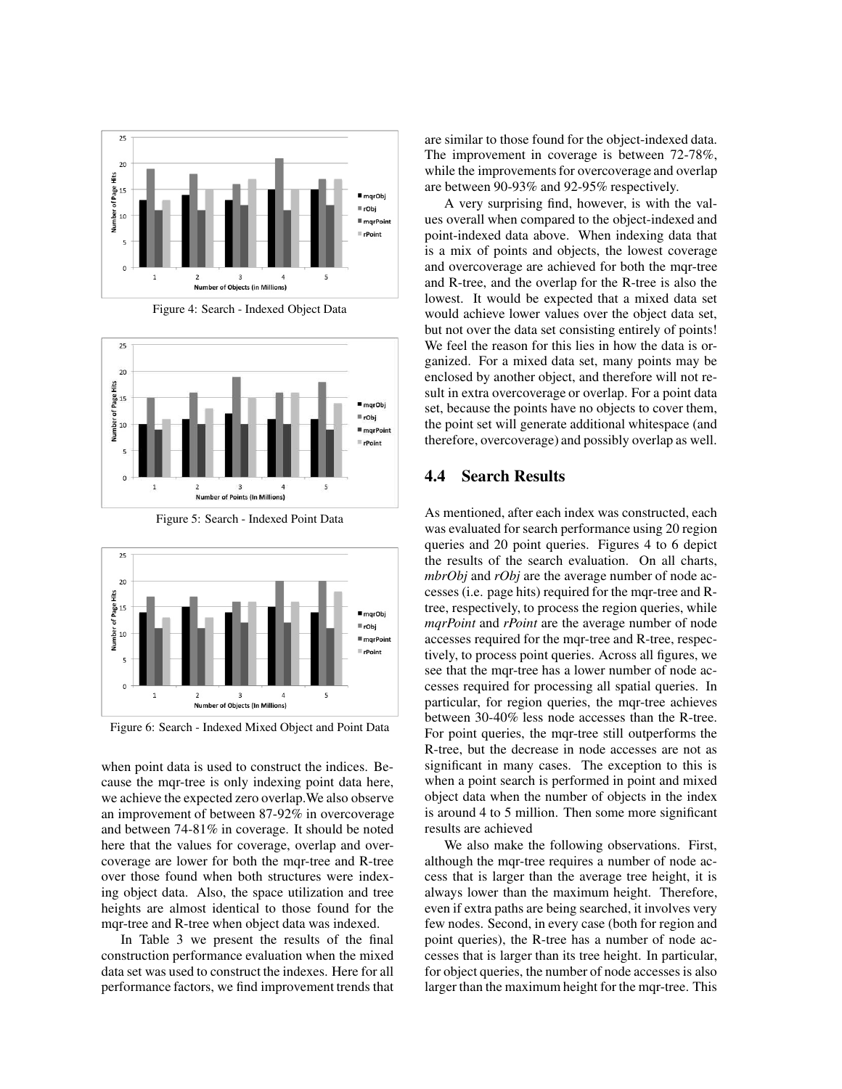

Figure 4: Search - Indexed Object Data



Figure 5: Search - Indexed Point Data



Figure 6: Search - Indexed Mixed Object and Point Data

when point data is used to construct the indices. Because the mqr-tree is only indexing point data here, we achieve the expected zero overlap.We also observe an improvement of between 87-92% in overcoverage and between 74-81% in coverage. It should be noted here that the values for coverage, overlap and overcoverage are lower for both the mqr-tree and R-tree over those found when both structures were indexing object data. Also, the space utilization and tree heights are almost identical to those found for the mqr-tree and R-tree when object data was indexed.

In Table 3 we present the results of the final construction performance evaluation when the mixed data set was used to construct the indexes. Here for all performance factors, we find improvement trends that are similar to those found for the object-indexed data. The improvement in coverage is between 72-78%, while the improvements for overcoverage and overlap are between 90-93% and 92-95% respectively.

A very surprising find, however, is with the values overall when compared to the object-indexed and point-indexed data above. When indexing data that is a mix of points and objects, the lowest coverage and overcoverage are achieved for both the mqr-tree and R-tree, and the overlap for the R-tree is also the lowest. It would be expected that a mixed data set would achieve lower values over the object data set, but not over the data set consisting entirely of points! We feel the reason for this lies in how the data is organized. For a mixed data set, many points may be enclosed by another object, and therefore will not result in extra overcoverage or overlap. For a point data set, because the points have no objects to cover them, the point set will generate additional whitespace (and therefore, overcoverage) and possibly overlap as well.

#### 4.4 Search Results

As mentioned, after each index was constructed, each was evaluated for search performance using 20 region queries and 20 point queries. Figures 4 to 6 depict the results of the search evaluation. On all charts, *mbrObj* and *rObj* are the average number of node accesses (i.e. page hits) required for the mqr-tree and Rtree, respectively, to process the region queries, while *mqrPoint* and *rPoint* are the average number of node accesses required for the mqr-tree and R-tree, respectively, to process point queries. Across all figures, we see that the mqr-tree has a lower number of node accesses required for processing all spatial queries. In particular, for region queries, the mqr-tree achieves between 30-40% less node accesses than the R-tree. For point queries, the mqr-tree still outperforms the R-tree, but the decrease in node accesses are not as significant in many cases. The exception to this is when a point search is performed in point and mixed object data when the number of objects in the index is around 4 to 5 million. Then some more significant results are achieved

We also make the following observations. First, although the mqr-tree requires a number of node access that is larger than the average tree height, it is always lower than the maximum height. Therefore, even if extra paths are being searched, it involves very few nodes. Second, in every case (both for region and point queries), the R-tree has a number of node accesses that is larger than its tree height. In particular, for object queries, the number of node accesses is also larger than the maximum height for the mqr-tree. This